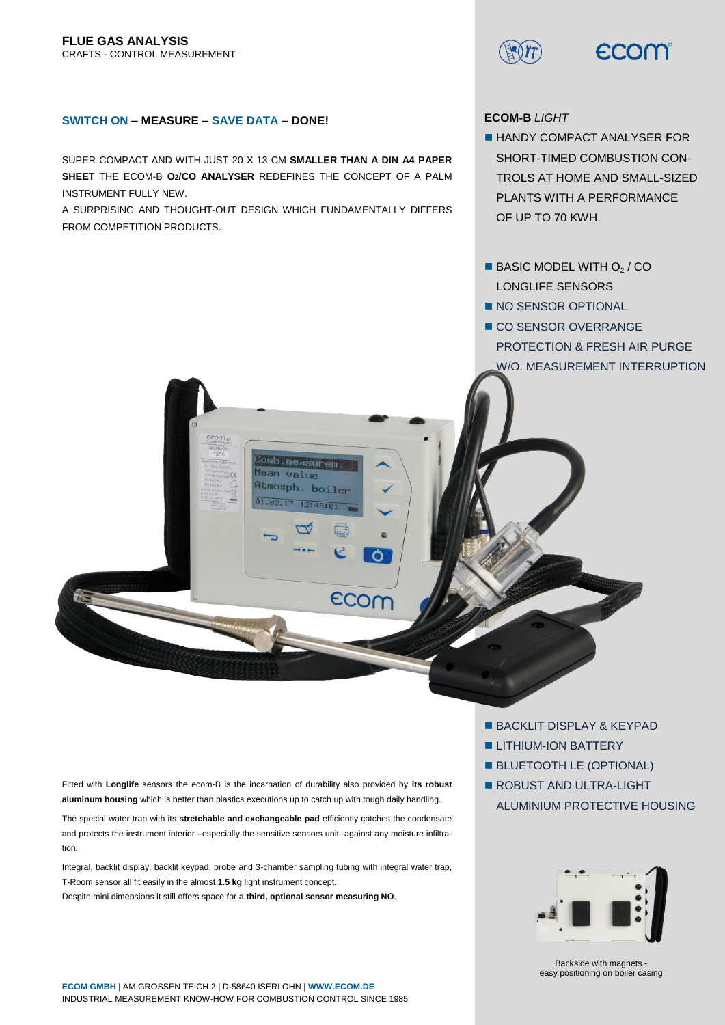ECOM

# **SWITCH ON – MEASURE – SAVE DATA – DONE!**

SUPER COMPACT AND WITH JUST 20 X 13 CM **SMALLER THAN A DIN A4 PAPER SHEET** THE ECOM-B **O2/CO ANALYSER** REDEFINES THE CONCEPT OF A PALM INSTRUMENT FULLY NEW.

A SURPRISING AND THOUGHT-OUT DESIGN WHICH FUNDAMENTALLY DIFFERS FROM COMPETITION PRODUCTS.

COM A

mb.measurem **Mean** value Atmosph. boiler

 $12:49:01$ 

 $\mathcal{C}$ 

ECOM

01.02.17

**ECOM-B** *LIGHT*

- **HANDY COMPACT ANALYSER FOR** SHORT-TIMED COMBUSTION CON-TROLS AT HOME AND SMALL-SIZED PLANTS WITH A PERFORMANCE OF UP TO 70 KWH.
- $\blacksquare$  BASIC MODEL WITH  $O<sub>2</sub>$  / CO LONGLIFE SENSORS
- NO SENSOR OPTIONAL
- CO SENSOR OVERRANGE PROTECTION & FRESH AIR PURGE W/O. MEASUREMENT INTERRUPTION

Fitted with **Longlife** sensors the ecom-B is the incarnation of durability also provided by **its robust aluminum housing** which is better than plastics executions up to catch up with tough daily handling.

The special water trap with its **stretchable and exchangeable pad** efficiently catches the condensate and protects the instrument interior –especially the sensitive sensors unit- against any moisture infiltration.

Integral, backlit display, backlit keypad, probe and 3-chamber sampling tubing with integral water trap, T-Room sensor all fit easily in the almost **1.5 kg** light instrument concept. Despite mini dimensions it still offers space for a **third, optional sensor measuring NO**.

- **BACKLIT DISPLAY & KEYPAD**
- **LITHIUM-ION BATTERY**
- **BLUETOOTH LE (OPTIONAL)**
- ROBUST AND ULTRA-LIGHT ALUMINIUM PROTECTIVE HOUSING



Backside with magnets easy positioning on boiler casing

**ECOM GMBH** | AM GROSSEN TEICH 2 | D-58640 ISERLOHN | **[WWW.ECOM.DE](http://www.ecom.de/)** INDUSTRIAL MEASUREMENT KNOW-HOW FOR COMBUSTION CONTROL SINCE 1985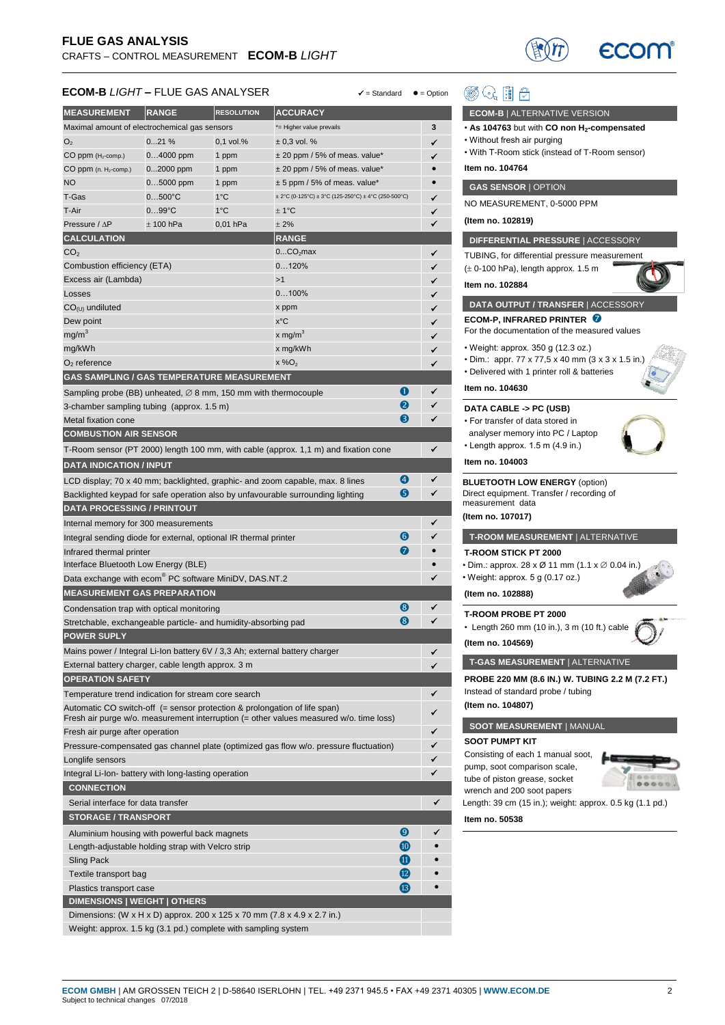

# **ECOM-B** *LIGHT* **– FLUE GAS ANALYSER**  $\checkmark$  = Standard ● = Option

| <b>MEASUREMENT</b>                                                          | <b>RANGE</b>     | <b>RESOLUTION</b> | <b>ACCURACY</b>                                                                        |              |           |
|-----------------------------------------------------------------------------|------------------|-------------------|----------------------------------------------------------------------------------------|--------------|-----------|
| Maximal amount of electrochemical gas sensors                               |                  |                   | *= Higher value prevails                                                               |              | 3         |
| O <sub>2</sub>                                                              | 021%             | 0,1 vol.%         | $± 0,3$ vol. %                                                                         |              | ✓         |
| CO ppm (H <sub>2</sub> -comp.)                                              | $04000$ ppm      | 1 ppm             | $\pm$ 20 ppm / 5% of meas. value*                                                      |              | ✓         |
| $CO$ ppm (n. $H_2$ -comp.)                                                  | 02000 ppm        | 1 ppm             | ± 20 ppm / 5% of meas. value*                                                          |              |           |
| <b>NO</b>                                                                   | $05000$ ppm      | 1 ppm             | $± 5$ ppm / 5% of meas. value*                                                         |              |           |
| T-Gas                                                                       | $0500^{\circ}$ C | $1^{\circ}$ C     | $\pm$ 2°C (0-125°C) $\pm$ 3°C (125-250°C) $\pm$ 4°C (250-500°C)                        |              | ✓         |
| T-Air                                                                       | $099^{\circ}C$   | $1^{\circ}$ C     | ± 1°C                                                                                  |              | ✓         |
| Pressure / ∆P                                                               | $±$ 100 hPa      | 0,01 hPa          | ± 2%                                                                                   |              | ✔         |
| <b>CALCULATION</b>                                                          |                  |                   | <b>RANGE</b>                                                                           |              |           |
| CO <sub>2</sub>                                                             |                  |                   | 0CO <sub>2</sub> max                                                                   |              | ✔         |
| Combustion efficiency (ETA)                                                 |                  |                   | 0120%                                                                                  |              |           |
| Excess air (Lambda)                                                         |                  |                   | >1                                                                                     |              | ✓         |
| Losses                                                                      |                  |                   | 0100%                                                                                  |              | ✓         |
| $CO(U)$ undiluted                                                           |                  |                   | x ppm                                                                                  |              | ✓         |
| Dew point                                                                   |                  |                   | x°C                                                                                    |              | ✓         |
| mg/m <sup>3</sup>                                                           |                  |                   | x mg/m <sup>3</sup>                                                                    |              | ✓         |
| mg/kWh                                                                      |                  |                   | x mg/kWh                                                                               |              | ✓         |
| $O2$ reference                                                              |                  |                   | $x\%O_2$                                                                               |              | ✔         |
| GAS SAMPLING / GAS TEMPERATURE MEASUREMENT                                  |                  |                   |                                                                                        |              |           |
| Sampling probe (BB) unheated, $\varnothing$ 8 mm, 150 mm with thermocouple  |                  |                   |                                                                                        | O            | ✓         |
| 3-chamber sampling tubing (approx. 1.5 m)                                   |                  |                   |                                                                                        | 2            | ✓         |
| Metal fixation cone                                                         |                  |                   |                                                                                        | 6            | ✔         |
| <b>COMBUSTION AIR SENSOR</b>                                                |                  |                   |                                                                                        |              |           |
|                                                                             |                  |                   |                                                                                        |              | ✔         |
|                                                                             |                  |                   | T-Room sensor (PT 2000) length 100 mm, with cable (approx. 1,1 m) and fixation cone    |              |           |
| <b>DATA INDICATION / INPUT</b>                                              |                  |                   |                                                                                        |              |           |
|                                                                             |                  |                   | LCD display; 70 x 40 mm; backlighted, graphic- and zoom capable, max. 8 lines          | 4            | ✔         |
|                                                                             |                  |                   | Backlighted keypad for safe operation also by unfavourable surrounding lighting        | 6            | ✓         |
| <b>DATA PROCESSING / PRINTOUT</b>                                           |                  |                   |                                                                                        |              |           |
| Internal memory for 300 measurements                                        |                  |                   |                                                                                        |              |           |
| 6<br>Integral sending diode for external, optional IR thermal printer       |                  |                   |                                                                                        |              |           |
| 0<br>Infrared thermal printer                                               |                  |                   |                                                                                        |              |           |
| Interface Bluetooth Low Energy (BLE)                                        |                  |                   |                                                                                        |              | $\bullet$ |
| Data exchange with ecom® PC software MiniDV, DAS.NT.2                       |                  |                   |                                                                                        |              | ✓         |
| <b>MEASUREMENT GAS PREPARATION</b>                                          |                  |                   |                                                                                        |              |           |
| Condensation trap with optical monitoring                                   |                  |                   |                                                                                        | 8            | ✔         |
| Stretchable, exchangeable particle- and humidity-absorbing pad              |                  |                   |                                                                                        | 8            | ✓         |
| <b>POWER SUPLY</b>                                                          |                  |                   |                                                                                        |              |           |
| Mains power / Integral Li-Ion battery 6V / 3,3 Ah; external battery charger |                  |                   |                                                                                        |              | ✓         |
| External battery charger, cable length approx. 3 m                          |                  |                   |                                                                                        |              | ✔         |
| <b>OPERATION SAFETY</b>                                                     |                  |                   |                                                                                        |              |           |
| Temperature trend indication for stream core search                         |                  |                   |                                                                                        |              | ✓         |
| Automatic CO switch-off (= sensor protection & prolongation of life span)   |                  |                   |                                                                                        |              |           |
| Fresh air purge after operation                                             |                  |                   | Fresh air purge w/o. measurement interruption (= other values measured w/o. time loss) |              |           |
|                                                                             |                  |                   | Pressure-compensated gas channel plate (optimized gas flow w/o. pressure fluctuation)  |              | ✓         |
| Longlife sensors                                                            |                  |                   |                                                                                        |              | ✓         |
|                                                                             |                  |                   |                                                                                        |              |           |
| Integral Li-Ion- battery with long-lasting operation                        |                  |                   |                                                                                        |              |           |
| <b>CONNECTION</b>                                                           |                  |                   |                                                                                        |              |           |
| Serial interface for data transfer                                          |                  |                   |                                                                                        |              |           |
| <b>STORAGE / TRANSPORT</b>                                                  |                  |                   |                                                                                        |              |           |
| Aluminium housing with powerful back magnets                                |                  |                   |                                                                                        | 0            |           |
| $\overline{10}$<br>Length-adjustable holding strap with Velcro strip        |                  |                   |                                                                                        |              |           |
| Sling Pack                                                                  |                  |                   |                                                                                        | ⑪            |           |
| Textile transport bag                                                       |                  |                   |                                                                                        | $\mathbf{D}$ |           |
| Plastics transport case                                                     |                  |                   |                                                                                        | <b>B</b>     |           |
| DIMENSIONS   WEIGHT   OTHERS                                                |                  |                   |                                                                                        |              |           |
| Dimensions: (W x H x D) approx. 200 x 125 x 70 mm (7.8 x 4.9 x 2.7 in.)     |                  |                   |                                                                                        |              |           |
| Weight: approx. 1.5 kg (3.1 pd.) complete with sampling system              |                  |                   |                                                                                        |              |           |

| めんまう                                                                                                  |  |
|-------------------------------------------------------------------------------------------------------|--|
| <b>ECOM-B</b>   ALTERNATIVE VERSION                                                                   |  |
| $\cdot$ As 104763 but with CO non H <sub>2</sub> -compensated                                         |  |
| • Without fresh air purging<br>• With T-Room stick (instead of T-Room sensor)                         |  |
| Item no. 104764                                                                                       |  |
| <b>GAS SENSOR   OPTION</b>                                                                            |  |
| NO MEASUREMENT, 0-5000 PPM                                                                            |  |
| (Item no. 102819)                                                                                     |  |
| DIFFERENTIAL PRESSURE   ACCESSORY                                                                     |  |
| TUBING, for differential pressure measurement                                                         |  |
| $(\pm 0.100$ hPa), length approx. 1.5 m                                                               |  |
| Item no. 102884                                                                                       |  |
| DATA OUTPUT / TRANSFER   ACCESSORY                                                                    |  |
| <b>ECOM-P, INFRARED PRINTER O</b><br>For the documentation of the measured values                     |  |
| • Weight: approx. 350 g (12.3 oz.)                                                                    |  |
| • Dim.: appr. 77 x 77,5 x 40 mm (3 x 3 x 1.5 in.)<br>• Delivered with 1 printer roll & batteries      |  |
| Item no. 104630                                                                                       |  |
| <b>DATA CABLE -&gt; PC (USB)</b>                                                                      |  |
| • For transfer of data stored in                                                                      |  |
| analyser memory into PC / Laptop<br>• Length approx. 1.5 m (4.9 in.)                                  |  |
| Item no. 104003                                                                                       |  |
| <b>BLUETOOTH LOW ENERGY (option)</b><br>Direct equipment. Transfer / recording of<br>measurement data |  |
| (Item no. 107017)                                                                                     |  |
| T-ROOM MEASUREMENT   ALTERNATIVE                                                                      |  |
| <b>T-ROOM STICK PT 2000</b>                                                                           |  |
| • Dim.: approx. 28 x Ø 11 mm (1.1 x Ø 0.04 in.)                                                       |  |
| • Weight: approx. 5 g (0.17 oz.)                                                                      |  |
| (Item no. 102888)                                                                                     |  |
| <b>T-ROOM PROBE PT 2000</b>                                                                           |  |
| • Length 260 mm (10 in.), 3 m (10 ft.) cable<br>(Item no. 104569)                                     |  |
|                                                                                                       |  |
| T-GAS MEASUREMENT   ALTERNATIVE                                                                       |  |
| PROBE 220 MM (8.6 IN.) W. TUBING 2.2 M (7.2 FT.)<br>Instead of standard probe / tubing                |  |
| (Item no. 104807)                                                                                     |  |
| <b>SOOT MEASUREMENT   MANUAL</b>                                                                      |  |
| <b>SOOT PUMPT KIT</b>                                                                                 |  |
|                                                                                                       |  |
| Consisting of each 1 manual soot,                                                                     |  |
| pump, soot comparison scale,<br>tube of piston grease, socket                                         |  |
| wrench and 200 soot papers                                                                            |  |
| Length: 39 cm (15 in.); weight: approx. 0.5 kg (1.1 pd.)<br>Item no. 50538                            |  |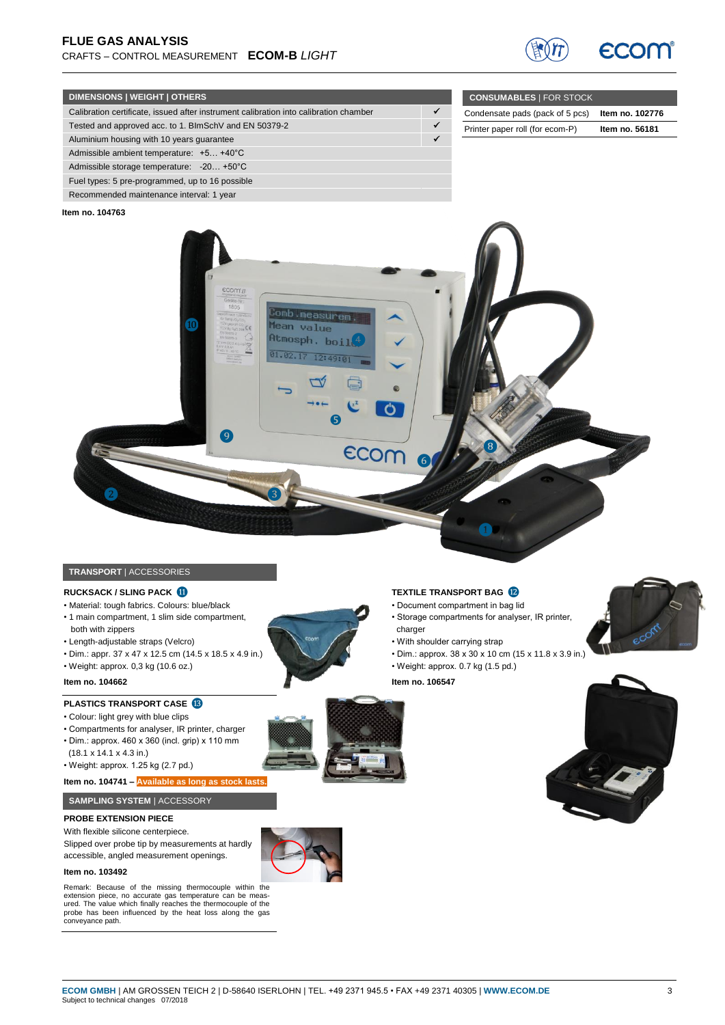

**CONSUMABLES** | FOR STOCK

Condensate pads (pack of 5 pcs) **Item no. 102776** Printer paper roll (for ecom-P) **Item no. 56181**

## **DIMENSIONS | WEIGHT | OTHERS**

| Calibration certificate, issued after instrument calibration into calibration chamber |  |
|---------------------------------------------------------------------------------------|--|
| Tested and approved acc. to 1. BlmSchV and EN 50379-2                                 |  |
| Aluminium housing with 10 years quarantee                                             |  |
| Admissible ambient temperature: +5 +40°C                                              |  |
| Admissible storage temperature: -20 +50°C                                             |  |
| Fuel types: 5 pre-programmed, up to 16 possible                                       |  |
| Recommended maintenance interval: 1 year                                              |  |

#### **Item no. 104763**



# **TRANSPORT** | ACCESSORIES

#### **RUCKSACK / SLING PACK 1**

- Material: tough fabrics. Colours: blue/black • 1 main compartment, 1 slim side compartment,
- both with zippers
- Length-adjustable straps (Velcro)
- Dim.: appr. 37 x 47 x 12.5 cm (14.5 x 18.5 x 4.9 in.)
- Weight: approx. 0,3 kg (10.6 oz.)

#### **Item no. 104662**

# **PLASTICS TRANSPORT CASE**

- Colour: light grey with blue clips
- Compartments for analyser, IR printer, charger
- Dim.: approx. 460 x 360 (incl. grip) x 110 mm
- (18.1 x 14.1 x 4.3 in.)
- Weight: approx. 1.25 kg (2.7 pd.)

#### **Item no. 104741 – Available as long as stock lasts.**

#### **SAMPLING SYSTEM** | ACCESSORY

#### **PROBE EXTENSION PIECE**

With flexible silicone centerpiece.

Slipped over probe tip by measurements at hardly accessible, angled measurement openings.

#### **Item no. 103492**

Remark: Because of the missing thermocouple within the extension piece, no accurate gas temperature can be measured. The value which finally reaches the thermocouple of the probe has been influenced by the heat loss along the gas conveyance path.

#### **TEXTILE TRANSPORT BAG <sup>12</sup>**

- Document compartment in bag lid
- Storage compartments for analyser, IR printer, charger

❶

- With shoulder carrying strap
- Dim.: approx. 38 x 30 x 10 cm (15 x 11.8 x 3.9 in.)
- Weight: approx. 0.7 kg (1.5 pd.)

#### **Item no. 106547**